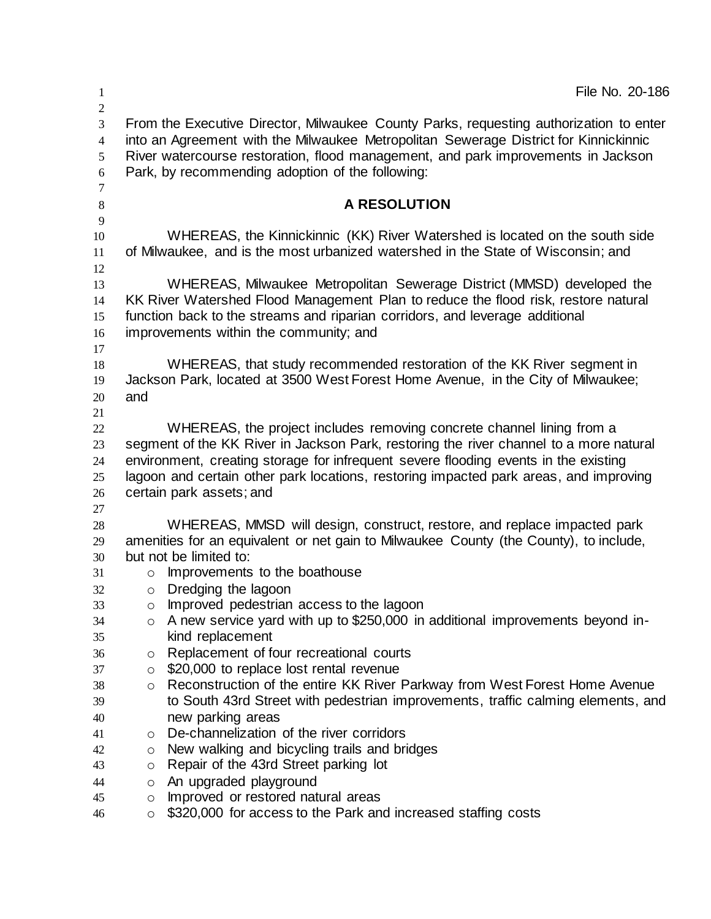| $\mathbf{1}$                                     | File No. 20-186                                                                                                                                                                                                                                                                                                                                 |
|--------------------------------------------------|-------------------------------------------------------------------------------------------------------------------------------------------------------------------------------------------------------------------------------------------------------------------------------------------------------------------------------------------------|
| $\sqrt{2}$<br>3<br>$\overline{4}$<br>5<br>6<br>7 | From the Executive Director, Milwaukee County Parks, requesting authorization to enter<br>into an Agreement with the Milwaukee Metropolitan Sewerage District for Kinnickinnic<br>River watercourse restoration, flood management, and park improvements in Jackson<br>Park, by recommending adoption of the following:                         |
| 8                                                | A RESOLUTION                                                                                                                                                                                                                                                                                                                                    |
| 9<br>10<br>11                                    | WHEREAS, the Kinnickinnic (KK) River Watershed is located on the south side<br>of Milwaukee, and is the most urbanized watershed in the State of Wisconsin; and                                                                                                                                                                                 |
| 12<br>13<br>14<br>15<br>16<br>17                 | WHEREAS, Milwaukee Metropolitan Sewerage District (MMSD) developed the<br>KK River Watershed Flood Management Plan to reduce the flood risk, restore natural<br>function back to the streams and riparian corridors, and leverage additional<br>improvements within the community; and                                                          |
| 18<br>19<br>20                                   | WHEREAS, that study recommended restoration of the KK River segment in<br>Jackson Park, located at 3500 West Forest Home Avenue, in the City of Milwaukee;<br>and                                                                                                                                                                               |
| 21<br>22<br>23<br>24<br>25                       | WHEREAS, the project includes removing concrete channel lining from a<br>segment of the KK River in Jackson Park, restoring the river channel to a more natural<br>environment, creating storage for infrequent severe flooding events in the existing<br>lagoon and certain other park locations, restoring impacted park areas, and improving |
| 26<br>27<br>28                                   | certain park assets; and<br>WHEREAS, MMSD will design, construct, restore, and replace impacted park                                                                                                                                                                                                                                            |
| 29<br>30                                         | amenities for an equivalent or net gain to Milwaukee County (the County), to include,<br>but not be limited to:                                                                                                                                                                                                                                 |
| 31<br>32                                         | Improvements to the boathouse<br>$\circ$<br>Dredging the lagoon<br>$\circ$                                                                                                                                                                                                                                                                      |
| 33<br>34<br>35                                   | Improved pedestrian access to the lagoon<br>O<br>A new service yard with up to \$250,000 in additional improvements beyond in-<br>$\circ$<br>kind replacement                                                                                                                                                                                   |
| 36<br>37                                         | Replacement of four recreational courts<br>O<br>\$20,000 to replace lost rental revenue<br>$\circ$                                                                                                                                                                                                                                              |
| 38<br>39                                         | Reconstruction of the entire KK River Parkway from West Forest Home Avenue<br>$\circ$<br>to South 43rd Street with pedestrian improvements, traffic calming elements, and                                                                                                                                                                       |
| 40<br>41                                         | new parking areas<br>De-channelization of the river corridors<br>$\circ$                                                                                                                                                                                                                                                                        |
| 42<br>43                                         | New walking and bicycling trails and bridges<br>O<br>Repair of the 43rd Street parking lot<br>$\circ$                                                                                                                                                                                                                                           |
| 44<br>45                                         | An upgraded playground<br>O<br>Improved or restored natural areas<br>O                                                                                                                                                                                                                                                                          |
| 46                                               | \$320,000 for access to the Park and increased staffing costs<br>$\circ$                                                                                                                                                                                                                                                                        |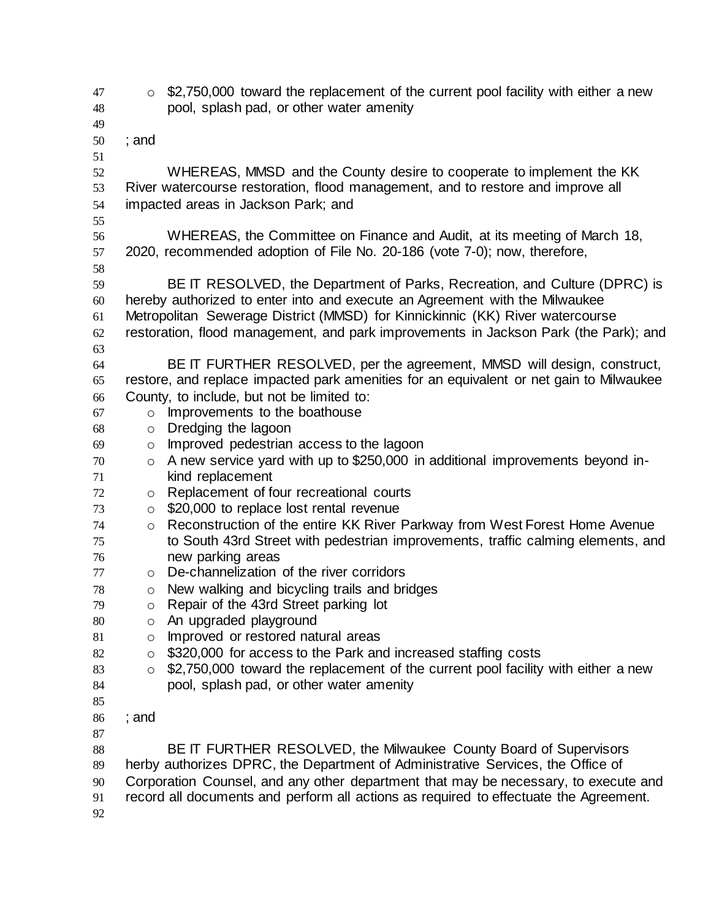$47 \circ$  \$2,750,000 toward the replacement of the current pool facility with either a new pool, splash pad, or other water amenity ; and WHEREAS, MMSD and the County desire to cooperate to implement the KK River watercourse restoration, flood management, and to restore and improve all impacted areas in Jackson Park; and WHEREAS, the Committee on Finance and Audit, at its meeting of March 18, 2020, recommended adoption of File No. 20-186 (vote 7-0); now, therefore, BE IT RESOLVED, the Department of Parks, Recreation, and Culture (DPRC) is hereby authorized to enter into and execute an Agreement with the Milwaukee Metropolitan Sewerage District (MMSD) for Kinnickinnic (KK) River watercourse restoration, flood management, and park improvements in Jackson Park (the Park); and BE IT FURTHER RESOLVED, per the agreement, MMSD will design, construct, restore, and replace impacted park amenities for an equivalent or net gain to Milwaukee County, to include, but not be limited to: o Improvements to the boathouse o Dredging the lagoon o Improved pedestrian access to the lagoon o A new service yard with up to \$250,000 in additional improvements beyond in- kind replacement o Replacement of four recreational courts o \$20,000 to replace lost rental revenue o Reconstruction of the entire KK River Parkway from West Forest Home Avenue to South 43rd Street with pedestrian improvements, traffic calming elements, and new parking areas o De-channelization of the river corridors o New walking and bicycling trails and bridges o Repair of the 43rd Street parking lot 80 o An upgraded playground 81 o Improved or restored natural areas 82 o \$320,000 for access to the Park and increased staffing costs 83 o \$2,750,000 toward the replacement of the current pool facility with either a new pool, splash pad, or other water amenity ; and 88 BE IT FURTHER RESOLVED, the Milwaukee County Board of Supervisors herby authorizes DPRC, the Department of Administrative Services, the Office of Corporation Counsel, and any other department that may be necessary, to execute and record all documents and perform all actions as required to effectuate the Agreement.